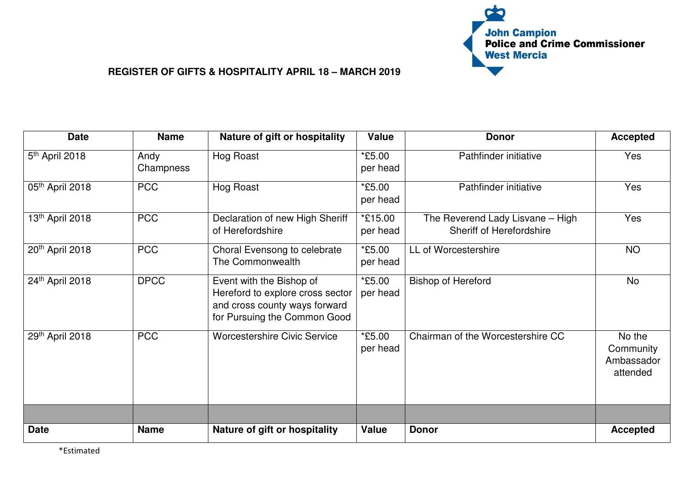

| <b>Date</b>                | <b>Name</b>       | Nature of gift or hospitality                                                                                                 | <b>Value</b>        | <b>Donor</b>                                                        | <b>Accepted</b>                               |
|----------------------------|-------------------|-------------------------------------------------------------------------------------------------------------------------------|---------------------|---------------------------------------------------------------------|-----------------------------------------------|
| 5 <sup>th</sup> April 2018 | Andy<br>Champness | Hog Roast                                                                                                                     | *£5.00<br>per head  | Pathfinder initiative                                               | Yes                                           |
| 05th April 2018            | <b>PCC</b>        | Hog Roast                                                                                                                     | *£5.00<br>per head  | Pathfinder initiative                                               | Yes                                           |
| 13th April 2018            | <b>PCC</b>        | Declaration of new High Sheriff<br>of Herefordshire                                                                           | *£15.00<br>per head | The Reverend Lady Lisvane - High<br><b>Sheriff of Herefordshire</b> | Yes                                           |
| 20th April 2018            | <b>PCC</b>        | Choral Evensong to celebrate<br>The Commonwealth                                                                              | *£5.00<br>per head  | LL of Worcestershire                                                | <b>NO</b>                                     |
| 24th April 2018            | <b>DPCC</b>       | Event with the Bishop of<br>Hereford to explore cross sector<br>and cross county ways forward<br>for Pursuing the Common Good | *£5.00<br>per head  | <b>Bishop of Hereford</b>                                           | <b>No</b>                                     |
| 29th April 2018            | <b>PCC</b>        | <b>Worcestershire Civic Service</b>                                                                                           | *£5.00<br>per head  | Chairman of the Worcestershire CC                                   | No the<br>Community<br>Ambassador<br>attended |
|                            |                   |                                                                                                                               |                     |                                                                     |                                               |
| <b>Date</b>                | <b>Name</b>       | Nature of gift or hospitality                                                                                                 | <b>Value</b>        | <b>Donor</b>                                                        | <b>Accepted</b>                               |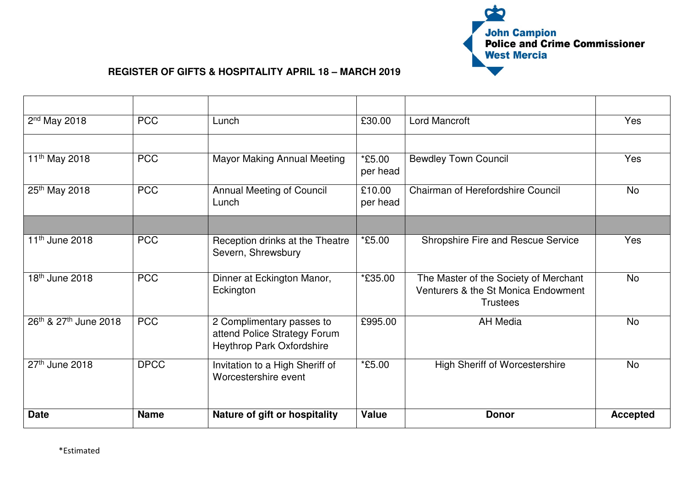

| 2 <sup>nd</sup> May 2018   | <b>PCC</b>  | Lunch                                                                                  | £30.00             | <b>Lord Mancroft</b>                                                                            | Yes             |
|----------------------------|-------------|----------------------------------------------------------------------------------------|--------------------|-------------------------------------------------------------------------------------------------|-----------------|
|                            |             |                                                                                        |                    |                                                                                                 |                 |
| 11 <sup>th</sup> May 2018  | <b>PCC</b>  | <b>Mayor Making Annual Meeting</b>                                                     | *£5.00<br>per head | <b>Bewdley Town Council</b>                                                                     | <b>Yes</b>      |
| 25th May 2018              | <b>PCC</b>  | <b>Annual Meeting of Council</b><br>Lunch                                              | £10.00<br>per head | Chairman of Herefordshire Council                                                               | <b>No</b>       |
|                            |             |                                                                                        |                    |                                                                                                 |                 |
| 11 <sup>th</sup> June 2018 | <b>PCC</b>  | Reception drinks at the Theatre<br>Severn, Shrewsbury                                  | *£5.00             | Shropshire Fire and Rescue Service                                                              | Yes             |
| 18 <sup>th</sup> June 2018 | <b>PCC</b>  | Dinner at Eckington Manor,<br>Eckington                                                | *£35.00            | The Master of the Society of Merchant<br>Venturers & the St Monica Endowment<br><b>Trustees</b> | <b>No</b>       |
| 26th & 27th June 2018      | <b>PCC</b>  | 2 Complimentary passes to<br>attend Police Strategy Forum<br>Heythrop Park Oxfordshire | £995.00            | <b>AH Media</b>                                                                                 | <b>No</b>       |
| $27th$ June 2018           | <b>DPCC</b> | Invitation to a High Sheriff of<br>Worcestershire event                                | *£5.00             | <b>High Sheriff of Worcestershire</b>                                                           | <b>No</b>       |
| <b>Date</b>                | <b>Name</b> | Nature of gift or hospitality                                                          | <b>Value</b>       | <b>Donor</b>                                                                                    | <b>Accepted</b> |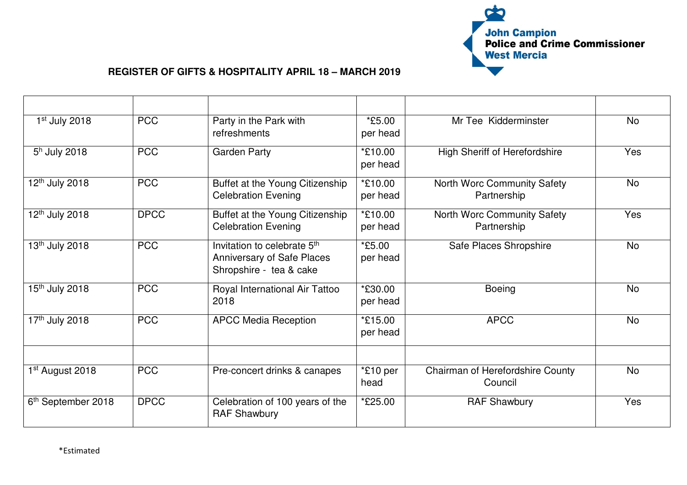

| 1st July 2018                  | <b>PCC</b>  | Party in the Park with<br>refreshments                                                                  | *£5.00<br>per head  | Mr Tee Kidderminster                               | <b>No</b> |
|--------------------------------|-------------|---------------------------------------------------------------------------------------------------------|---------------------|----------------------------------------------------|-----------|
| $5h$ July 2018                 | <b>PCC</b>  | <b>Garden Party</b>                                                                                     | *£10.00<br>per head | <b>High Sheriff of Herefordshire</b>               | Yes       |
| 12 <sup>th</sup> July 2018     | <b>PCC</b>  | Buffet at the Young Citizenship<br><b>Celebration Evening</b>                                           | *£10.00<br>per head | North Worc Community Safety<br>Partnership         | <b>No</b> |
| 12 <sup>th</sup> July 2018     | <b>DPCC</b> | Buffet at the Young Citizenship<br><b>Celebration Evening</b>                                           | *£10.00<br>per head | North Worc Community Safety<br>Partnership         | Yes       |
| 13 <sup>th</sup> July 2018     | <b>PCC</b>  | Invitation to celebrate 5 <sup>th</sup><br><b>Anniversary of Safe Places</b><br>Shropshire - tea & cake | $*5.00$<br>per head | Safe Places Shropshire                             | <b>No</b> |
| 15 <sup>th</sup> July 2018     | <b>PCC</b>  | Royal International Air Tattoo<br>2018                                                                  | *£30.00<br>per head | <b>Boeing</b>                                      | <b>No</b> |
| 17th July 2018                 | <b>PCC</b>  | <b>APCC Media Reception</b>                                                                             | *£15.00<br>per head | <b>APCC</b>                                        | <b>No</b> |
| 1 <sup>st</sup> August 2018    | <b>PCC</b>  | Pre-concert drinks & canapes                                                                            | *£10 per<br>head    | <b>Chairman of Herefordshire County</b><br>Council | <b>No</b> |
| 6 <sup>th</sup> September 2018 | <b>DPCC</b> | Celebration of 100 years of the<br><b>RAF Shawbury</b>                                                  | *£25.00             | <b>RAF Shawbury</b>                                | Yes       |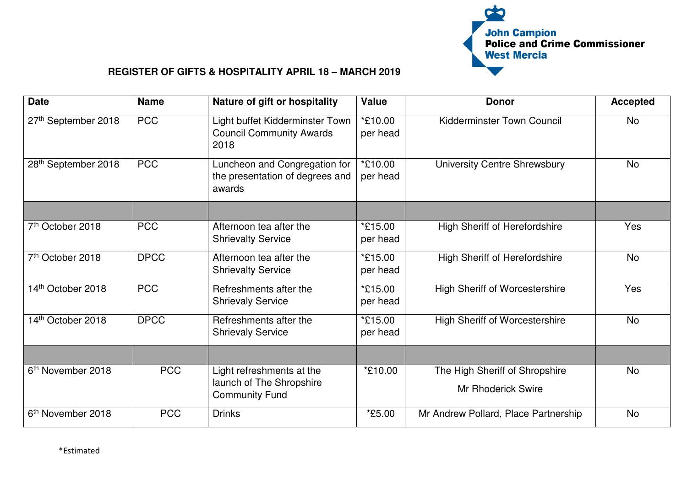

| <b>Date</b>                   | <b>Name</b> | Nature of gift or hospitality                                                  | <b>Value</b>        | <b>Donor</b>                                                | <b>Accepted</b> |
|-------------------------------|-------------|--------------------------------------------------------------------------------|---------------------|-------------------------------------------------------------|-----------------|
| 27th September 2018           | <b>PCC</b>  | Light buffet Kidderminster Town<br><b>Council Community Awards</b><br>2018     | *£10.00<br>per head | <b>Kidderminster Town Council</b>                           | <b>No</b>       |
| 28th September 2018           | <b>PCC</b>  | Luncheon and Congregation for<br>the presentation of degrees and<br>awards     | *£10.00<br>per head | <b>University Centre Shrewsbury</b>                         | <b>No</b>       |
|                               |             |                                                                                |                     |                                                             |                 |
| 7th October 2018              | <b>PCC</b>  | Afternoon tea after the<br><b>Shrievalty Service</b>                           | *£15.00<br>per head | <b>High Sheriff of Herefordshire</b>                        | Yes             |
| 7 <sup>th</sup> October 2018  | <b>DPCC</b> | Afternoon tea after the<br><b>Shrievalty Service</b>                           | *£15.00<br>per head | <b>High Sheriff of Herefordshire</b>                        | <b>No</b>       |
| 14th October 2018             | <b>PCC</b>  | Refreshments after the<br><b>Shrievaly Service</b>                             | *£15.00<br>per head | <b>High Sheriff of Worcestershire</b>                       | Yes             |
| 14th October 2018             | <b>DPCC</b> | Refreshments after the<br><b>Shrievaly Service</b>                             | *£15.00<br>per head | <b>High Sheriff of Worcestershire</b>                       | <b>No</b>       |
|                               |             |                                                                                |                     |                                                             |                 |
| 6 <sup>th</sup> November 2018 | <b>PCC</b>  | Light refreshments at the<br>launch of The Shropshire<br><b>Community Fund</b> | *£10.00             | The High Sheriff of Shropshire<br><b>Mr Rhoderick Swire</b> | <b>No</b>       |
| 6 <sup>th</sup> November 2018 | <b>PCC</b>  | <b>Drinks</b>                                                                  | *£5.00              | Mr Andrew Pollard, Place Partnership                        | <b>No</b>       |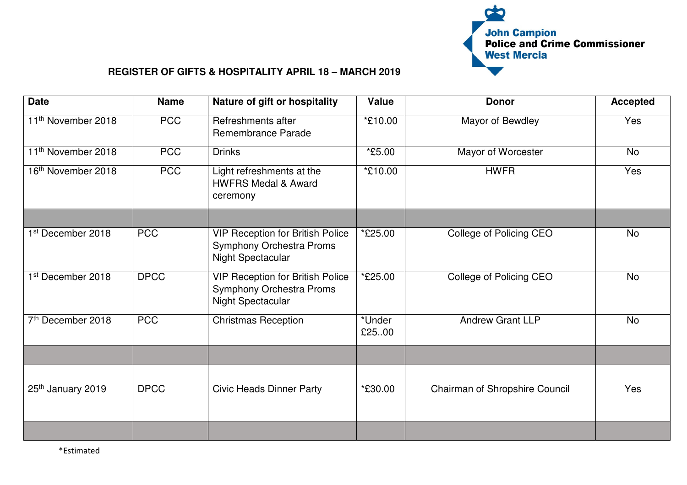

| <b>Date</b>                    | <b>Name</b> | Nature of gift or hospitality                                                                   | <b>Value</b>         | <b>Donor</b>                   | <b>Accepted</b> |
|--------------------------------|-------------|-------------------------------------------------------------------------------------------------|----------------------|--------------------------------|-----------------|
| 11 <sup>th</sup> November 2018 | <b>PCC</b>  | Refreshments after<br>Remembrance Parade                                                        | *£10.00              | Mayor of Bewdley               | Yes             |
| 11 <sup>th</sup> November 2018 | <b>PCC</b>  | <b>Drinks</b>                                                                                   | <i><b>*£5.00</b></i> | Mayor of Worcester             | <b>No</b>       |
| 16 <sup>th</sup> November 2018 | <b>PCC</b>  | Light refreshments at the<br><b>HWFRS Medal &amp; Award</b><br>ceremony                         | *£10.00              | <b>HWFR</b>                    | Yes             |
|                                |             |                                                                                                 |                      |                                |                 |
| 1 <sup>st</sup> December 2018  | <b>PCC</b>  | <b>VIP Reception for British Police</b><br><b>Symphony Orchestra Proms</b><br>Night Spectacular | *£25.00              | College of Policing CEO        | <b>No</b>       |
| 1 <sup>st</sup> December 2018  | <b>DPCC</b> | <b>VIP Reception for British Police</b><br><b>Symphony Orchestra Proms</b><br>Night Spectacular | *£25.00              | College of Policing CEO        | <b>No</b>       |
| 7 <sup>th</sup> December 2018  | <b>PCC</b>  | <b>Christmas Reception</b>                                                                      | *Under<br>£25.00     | <b>Andrew Grant LLP</b>        | <b>No</b>       |
|                                |             |                                                                                                 |                      |                                |                 |
| 25th January 2019              | <b>DPCC</b> | <b>Civic Heads Dinner Party</b>                                                                 | *£30.00              | Chairman of Shropshire Council | Yes             |
|                                |             |                                                                                                 |                      |                                |                 |